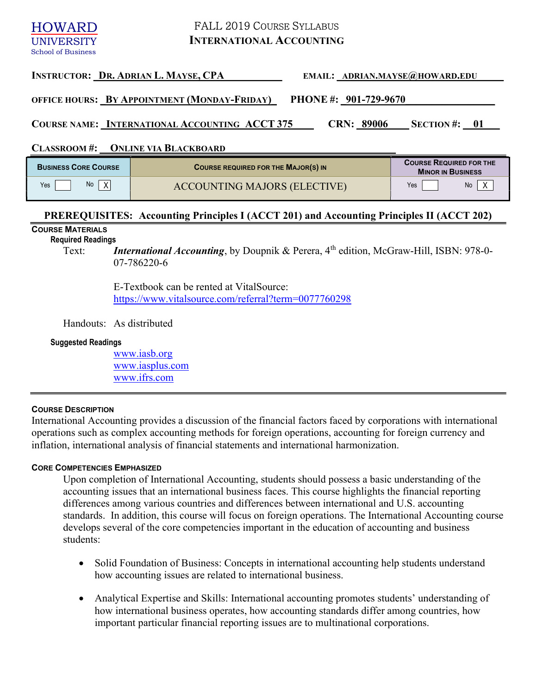# FALL 2019 COURSE SYLLABUS INTERNATIONAL ACCOUNTING

**HOWARD UNIVERSITY** School of Business

# INSTRUCTOR: DR. ADRIAN L. MAYSE, CPA\_\_\_\_\_\_\_\_\_\_\_\_\_\_ EMAIL: \_ADRIAN.MAYSE@HOWARD.EDU

OFFICE HOURS: BY APPOINTMENT (MONDAY-FRIDAY) PHONE #: 901-729-9670\_

COURSE NAME: INTERNATIONAL ACCOUNTING ACCT 375 CRN: 89006 SECTION #: 01

CLASSROOM #: \_\_\_ONLINE VIA BLACKBOARD

| <b>BUSINESS CORE COURSE</b> | <b>COURSE REQUIRED FOR THE MAJOR(S) IN</b> | <b>COURSE REQUIRED FOR THE</b><br><b>MINOR IN BUSINESS</b> |
|-----------------------------|--------------------------------------------|------------------------------------------------------------|
| No<br>Yes                   | ACCOUNTING MAJORS (ELECTIVE)               | <b>No</b><br>Yes                                           |

# PREREQUISITES: Accounting Principles I (ACCT 201) and Accounting Principles II (ACCT 202)

# COURSE MATERIALS

Required Readings

Text: *International Accounting*, by Doupnik & Perera,  $4<sup>th</sup>$  edition, McGraw-Hill, ISBN: 978-0-07-786220-6

> E-Textbook can be rented at VitalSource: https://www.vitalsource.com/referral?term=0077760298

Handouts: As distributed

#### Suggested Readings

www.iasb.org www.iasplus.com www.ifrs.com

# COURSE DESCRIPTION

International Accounting provides a discussion of the financial factors faced by corporations with international operations such as complex accounting methods for foreign operations, accounting for foreign currency and inflation, international analysis of financial statements and international harmonization.

# CORE COMPETENCIES EMPHASIZED

Upon completion of International Accounting, students should possess a basic understanding of the accounting issues that an international business faces. This course highlights the financial reporting differences among various countries and differences between international and U.S. accounting standards. In addition, this course will focus on foreign operations. The International Accounting course develops several of the core competencies important in the education of accounting and business students:

- Solid Foundation of Business: Concepts in international accounting help students understand how accounting issues are related to international business.
- Analytical Expertise and Skills: International accounting promotes students' understanding of how international business operates, how accounting standards differ among countries, how important particular financial reporting issues are to multinational corporations.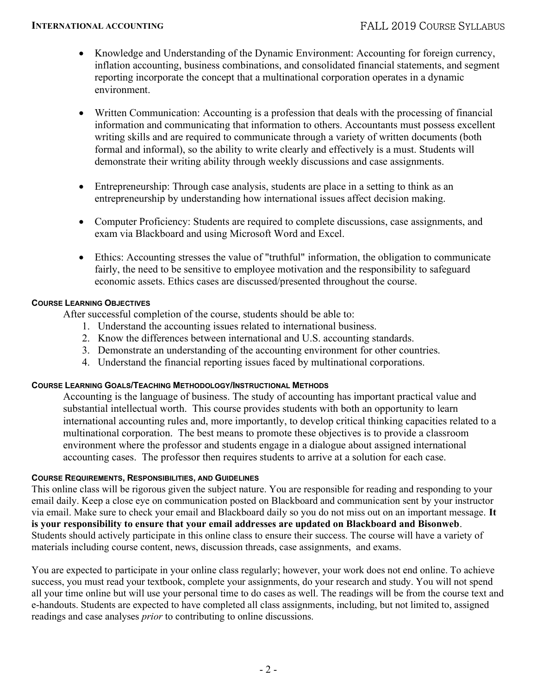- Knowledge and Understanding of the Dynamic Environment: Accounting for foreign currency, inflation accounting, business combinations, and consolidated financial statements, and segment reporting incorporate the concept that a multinational corporation operates in a dynamic environment.
- Written Communication: Accounting is a profession that deals with the processing of financial information and communicating that information to others. Accountants must possess excellent writing skills and are required to communicate through a variety of written documents (both formal and informal), so the ability to write clearly and effectively is a must. Students will demonstrate their writing ability through weekly discussions and case assignments.
- Entrepreneurship: Through case analysis, students are place in a setting to think as an entrepreneurship by understanding how international issues affect decision making.
- Computer Proficiency: Students are required to complete discussions, case assignments, and exam via Blackboard and using Microsoft Word and Excel.
- Ethics: Accounting stresses the value of "truthful" information, the obligation to communicate fairly, the need to be sensitive to employee motivation and the responsibility to safeguard economic assets. Ethics cases are discussed/presented throughout the course.

# COURSE LEARNING OBJECTIVES

After successful completion of the course, students should be able to:

- 1. Understand the accounting issues related to international business.
- 2. Know the differences between international and U.S. accounting standards.
- 3. Demonstrate an understanding of the accounting environment for other countries.
- 4. Understand the financial reporting issues faced by multinational corporations.

# COURSE LEARNING GOALS/TEACHING METHODOLOGY/INSTRUCTIONAL METHODS

Accounting is the language of business. The study of accounting has important practical value and substantial intellectual worth. This course provides students with both an opportunity to learn international accounting rules and, more importantly, to develop critical thinking capacities related to a multinational corporation. The best means to promote these objectives is to provide a classroom environment where the professor and students engage in a dialogue about assigned international accounting cases. The professor then requires students to arrive at a solution for each case.

# COURSE REQUIREMENTS, RESPONSIBILITIES, AND GUIDELINES

This online class will be rigorous given the subject nature. You are responsible for reading and responding to your email daily. Keep a close eye on communication posted on Blackboard and communication sent by your instructor via email. Make sure to check your email and Blackboard daily so you do not miss out on an important message. It is your responsibility to ensure that your email addresses are updated on Blackboard and Bisonweb. Students should actively participate in this online class to ensure their success. The course will have a variety of materials including course content, news, discussion threads, case assignments, and exams.

You are expected to participate in your online class regularly; however, your work does not end online. To achieve success, you must read your textbook, complete your assignments, do your research and study. You will not spend all your time online but will use your personal time to do cases as well. The readings will be from the course text and e-handouts. Students are expected to have completed all class assignments, including, but not limited to, assigned readings and case analyses prior to contributing to online discussions.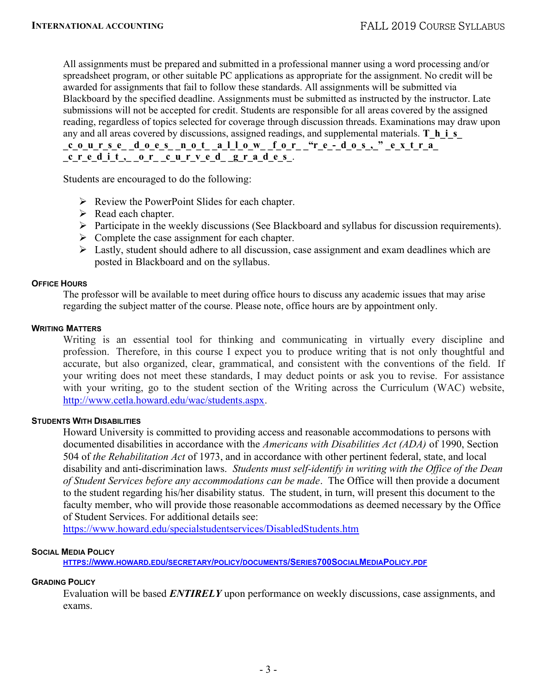All assignments must be prepared and submitted in a professional manner using a word processing and/or spreadsheet program, or other suitable PC applications as appropriate for the assignment. No credit will be awarded for assignments that fail to follow these standards. All assignments will be submitted via Blackboard by the specified deadline. Assignments must be submitted as instructed by the instructor. Late submissions will not be accepted for credit. Students are responsible for all areas covered by the assigned reading, regardless of topics selected for coverage through discussion threads. Examinations may draw upon any and all areas covered by discussions, assigned readings, and supplemental materials. T\_h\_i\_s course does not allow for "re-dos," extra

 $\frac{1}{\sqrt{2}}$   $\frac{1}{\sqrt{2}}$   $\frac{1}{\sqrt{2}}$   $\frac{1}{\sqrt{2}}$   $\frac{1}{\sqrt{2}}$   $\frac{1}{\sqrt{2}}$   $\frac{1}{\sqrt{2}}$   $\frac{1}{\sqrt{2}}$   $\frac{1}{\sqrt{2}}$   $\frac{1}{\sqrt{2}}$   $\frac{1}{\sqrt{2}}$   $\frac{1}{\sqrt{2}}$   $\frac{1}{\sqrt{2}}$   $\frac{1}{\sqrt{2}}$   $\frac{1}{\sqrt{2}}$   $\frac{1}{\sqrt{2}}$   $\frac{1}{\sqrt{2}}$ 

Students are encouraged to do the following:

- $\triangleright$  Review the PowerPoint Slides for each chapter.
- $\triangleright$  Read each chapter.
- $\triangleright$  Participate in the weekly discussions (See Blackboard and syllabus for discussion requirements).
- $\triangleright$  Complete the case assignment for each chapter.
- $\triangleright$  Lastly, student should adhere to all discussion, case assignment and exam deadlines which are posted in Blackboard and on the syllabus.

#### OFFICE HOURS

 The professor will be available to meet during office hours to discuss any academic issues that may arise regarding the subject matter of the course. Please note, office hours are by appointment only.

#### WRITING MATTERS

Writing is an essential tool for thinking and communicating in virtually every discipline and profession. Therefore, in this course I expect you to produce writing that is not only thoughtful and accurate, but also organized, clear, grammatical, and consistent with the conventions of the field. If your writing does not meet these standards, I may deduct points or ask you to revise. For assistance with your writing, go to the student section of the Writing across the Curriculum (WAC) website, http://www.cetla.howard.edu/wac/students.aspx.

### STUDENTS WITH DISABILITIES

Howard University is committed to providing access and reasonable accommodations to persons with documented disabilities in accordance with the Americans with Disabilities Act (ADA) of 1990, Section 504 of the Rehabilitation Act of 1973, and in accordance with other pertinent federal, state, and local disability and anti-discrimination laws. Students must self-identify in writing with the Office of the Dean of Student Services before any accommodations can be made. The Office will then provide a document to the student regarding his/her disability status. The student, in turn, will present this document to the faculty member, who will provide those reasonable accommodations as deemed necessary by the Office of Student Services. For additional details see:

https://www.howard.edu/specialstudentservices/DisabledStudents.htm

#### SOCIAL MEDIA POLICY

HTTPS://WWW.HOWARD.EDU/SECRETARY/POLICY/DOCUMENTS/SERIES700SOCIALMEDIAPOLICY.PDF

#### GRADING POLICY

Evaluation will be based **ENTIRELY** upon performance on weekly discussions, case assignments, and exams.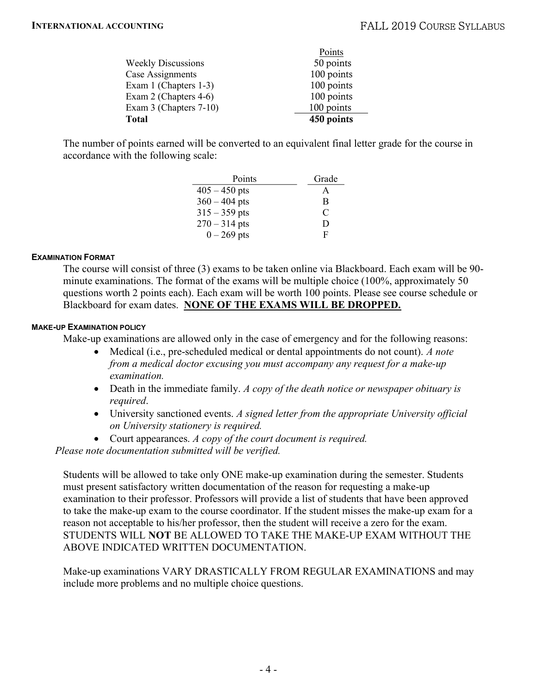| <b>Total</b>              | 450 points |
|---------------------------|------------|
| Exam 3 (Chapters 7-10)    | 100 points |
| Exam 2 (Chapters 4-6)     | 100 points |
| Exam 1 (Chapters 1-3)     | 100 points |
| Case Assignments          | 100 points |
| <b>Weekly Discussions</b> | 50 points  |
|                           | Points     |

The number of points earned will be converted to an equivalent final letter grade for the course in accordance with the following scale:

| Points          | Grade |
|-----------------|-------|
| $405 - 450$ pts | А     |
| $360 - 404$ pts | B     |
| $315 - 359$ pts | C     |
| $270 - 314$ pts | D     |
| $0 - 269$ pts   | н     |

## EXAMINATION FORMAT

The course will consist of three (3) exams to be taken online via Blackboard. Each exam will be 90 minute examinations. The format of the exams will be multiple choice (100%, approximately 50 questions worth 2 points each). Each exam will be worth 100 points. Please see course schedule or Blackboard for exam dates. NONE OF THE EXAMS WILL BE DROPPED.

## MAKE-UP EXAMINATION POLICY

Make-up examinations are allowed only in the case of emergency and for the following reasons:

- Medical (i.e., pre-scheduled medical or dental appointments do not count). A note from a medical doctor excusing you must accompany any request for a make-up examination.
- Death in the immediate family. A copy of the death notice or newspaper obituary is required.
- University sanctioned events. A signed letter from the appropriate University official on University stationery is required.
- Court appearances. A copy of the court document is required.

Please note documentation submitted will be verified.

Students will be allowed to take only ONE make-up examination during the semester. Students must present satisfactory written documentation of the reason for requesting a make-up examination to their professor. Professors will provide a list of students that have been approved to take the make-up exam to the course coordinator. If the student misses the make-up exam for a reason not acceptable to his/her professor, then the student will receive a zero for the exam. STUDENTS WILL NOT BE ALLOWED TO TAKE THE MAKE-UP EXAM WITHOUT THE ABOVE INDICATED WRITTEN DOCUMENTATION.

Make-up examinations VARY DRASTICALLY FROM REGULAR EXAMINATIONS and may include more problems and no multiple choice questions.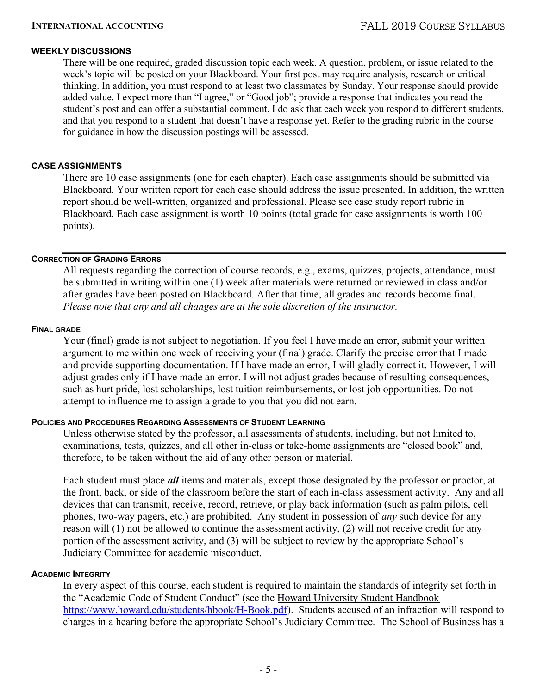## WEEKLY DISCUSSIONS

There will be one required, graded discussion topic each week. A question, problem, or issue related to the week's topic will be posted on your Blackboard. Your first post may require analysis, research or critical thinking. In addition, you must respond to at least two classmates by Sunday. Your response should provide added value. I expect more than "I agree," or "Good job"; provide a response that indicates you read the student's post and can offer a substantial comment. I do ask that each week you respond to different students, and that you respond to a student that doesn't have a response yet. Refer to the grading rubric in the course for guidance in how the discussion postings will be assessed.

### CASE ASSIGNMENTS

There are 10 case assignments (one for each chapter). Each case assignments should be submitted via Blackboard. Your written report for each case should address the issue presented. In addition, the written report should be well-written, organized and professional. Please see case study report rubric in Blackboard. Each case assignment is worth 10 points (total grade for case assignments is worth 100 points).

## CORRECTION OF GRADING ERRORS

All requests regarding the correction of course records, e.g., exams, quizzes, projects, attendance, must be submitted in writing within one (1) week after materials were returned or reviewed in class and/or after grades have been posted on Blackboard. After that time, all grades and records become final. Please note that any and all changes are at the sole discretion of the instructor.

#### FINAL GRADE

Your (final) grade is not subject to negotiation. If you feel I have made an error, submit your written argument to me within one week of receiving your (final) grade. Clarify the precise error that I made and provide supporting documentation. If I have made an error, I will gladly correct it. However, I will adjust grades only if I have made an error. I will not adjust grades because of resulting consequences, such as hurt pride, lost scholarships, lost tuition reimbursements, or lost job opportunities. Do not attempt to influence me to assign a grade to you that you did not earn.

### POLICIES AND PROCEDURES REGARDING ASSESSMENTS OF STUDENT LEARNING

Unless otherwise stated by the professor, all assessments of students, including, but not limited to, examinations, tests, quizzes, and all other in-class or take-home assignments are "closed book" and, therefore, to be taken without the aid of any other person or material.

Each student must place **all** items and materials, except those designated by the professor or proctor, at the front, back, or side of the classroom before the start of each in-class assessment activity. Any and all devices that can transmit, receive, record, retrieve, or play back information (such as palm pilots, cell phones, two-way pagers, etc.) are prohibited. Any student in possession of any such device for any reason will (1) not be allowed to continue the assessment activity, (2) will not receive credit for any portion of the assessment activity, and (3) will be subject to review by the appropriate School's Judiciary Committee for academic misconduct.

#### ACADEMIC INTEGRITY

In every aspect of this course, each student is required to maintain the standards of integrity set forth in the "Academic Code of Student Conduct" (see the Howard University Student Handbook https://www.howard.edu/students/hbook/H-Book.pdf). Students accused of an infraction will respond to charges in a hearing before the appropriate School's Judiciary Committee. The School of Business has a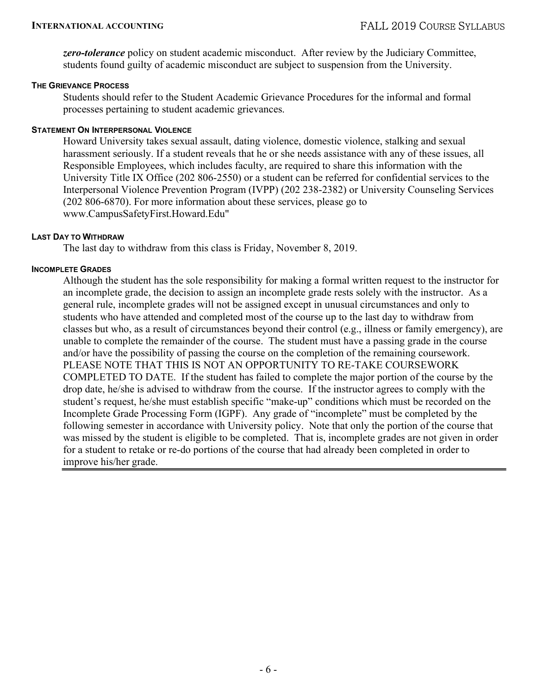zero-tolerance policy on student academic misconduct. After review by the Judiciary Committee, students found guilty of academic misconduct are subject to suspension from the University.

### THE GRIEVANCE PROCESS

Students should refer to the Student Academic Grievance Procedures for the informal and formal processes pertaining to student academic grievances.

## STATEMENT ON INTERPERSONAL VIOLENCE

Howard University takes sexual assault, dating violence, domestic violence, stalking and sexual harassment seriously. If a student reveals that he or she needs assistance with any of these issues, all Responsible Employees, which includes faculty, are required to share this information with the University Title IX Office (202 806-2550) or a student can be referred for confidential services to the Interpersonal Violence Prevention Program (IVPP) (202 238-2382) or University Counseling Services (202 806-6870). For more information about these services, please go to www.CampusSafetyFirst.Howard.Edu"

## LAST DAY TO WITHDRAW

The last day to withdraw from this class is Friday, November 8, 2019.

#### INCOMPLETE GRADES

Although the student has the sole responsibility for making a formal written request to the instructor for an incomplete grade, the decision to assign an incomplete grade rests solely with the instructor. As a general rule, incomplete grades will not be assigned except in unusual circumstances and only to students who have attended and completed most of the course up to the last day to withdraw from classes but who, as a result of circumstances beyond their control (e.g., illness or family emergency), are unable to complete the remainder of the course. The student must have a passing grade in the course and/or have the possibility of passing the course on the completion of the remaining coursework. PLEASE NOTE THAT THIS IS NOT AN OPPORTUNITY TO RE-TAKE COURSEWORK COMPLETED TO DATE. If the student has failed to complete the major portion of the course by the drop date, he/she is advised to withdraw from the course. If the instructor agrees to comply with the student's request, he/she must establish specific "make-up" conditions which must be recorded on the Incomplete Grade Processing Form (IGPF). Any grade of "incomplete" must be completed by the following semester in accordance with University policy. Note that only the portion of the course that was missed by the student is eligible to be completed. That is, incomplete grades are not given in order for a student to retake or re-do portions of the course that had already been completed in order to improve his/her grade.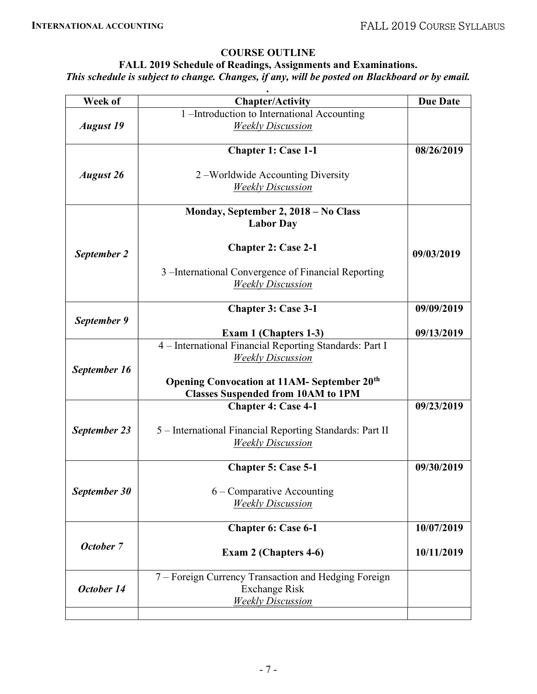# COURSE OUTLINE

# FALL 2019 Schedule of Readings, Assignments and Examinations. This schedule is subject to change. Changes, if any, will be posted on Blackboard or by email.

| Week of          | <b>Chapter/Activity</b>                                  | <b>Due Date</b> |
|------------------|----------------------------------------------------------|-----------------|
|                  | 1 -Introduction to International Accounting              |                 |
| <b>August 19</b> | <b>Weekly Discussion</b>                                 |                 |
|                  | <b>Chapter 1: Case 1-1</b>                               | 08/26/2019      |
| <b>August 26</b> | 2 – Worldwide Accounting Diversity                       |                 |
|                  | <b>Weekly Discussion</b>                                 |                 |
|                  |                                                          |                 |
|                  | Monday, September 2, 2018 - No Class                     |                 |
|                  | <b>Labor Day</b>                                         |                 |
| September 2      | <b>Chapter 2: Case 2-1</b>                               | 09/03/2019      |
|                  | 3 – International Convergence of Financial Reporting     |                 |
|                  | <b>Weekly Discussion</b>                                 |                 |
|                  |                                                          |                 |
|                  | <b>Chapter 3: Case 3-1</b>                               | 09/09/2019      |
| September 9      | Exam 1 (Chapters 1-3)                                    | 09/13/2019      |
|                  | 4 - International Financial Reporting Standards: Part I  |                 |
|                  | <b>Weekly Discussion</b>                                 |                 |
| September 16     |                                                          |                 |
|                  | <b>Opening Convocation at 11AM- September 20th</b>       |                 |
|                  | <b>Classes Suspended from 10AM to 1PM</b>                |                 |
|                  | <b>Chapter 4: Case 4-1</b>                               | 09/23/2019      |
| September 23     | 5 - International Financial Reporting Standards: Part II |                 |
|                  | <b>Weekly Discussion</b>                                 |                 |
|                  |                                                          |                 |
|                  | <b>Chapter 5: Case 5-1</b>                               | 09/30/2019      |
|                  |                                                          |                 |
| September 30     | $6$ – Comparative Accounting                             |                 |
|                  | <b>Weekly Discussion</b>                                 |                 |
|                  | <b>Chapter 6: Case 6-1</b>                               | 10/07/2019      |
| October 7        |                                                          |                 |
|                  | Exam 2 (Chapters 4-6)                                    | 10/11/2019      |
|                  | 7 - Foreign Currency Transaction and Hedging Foreign     |                 |
| October 14       | <b>Exchange Risk</b>                                     |                 |
|                  | <b>Weekly Discussion</b>                                 |                 |
|                  |                                                          |                 |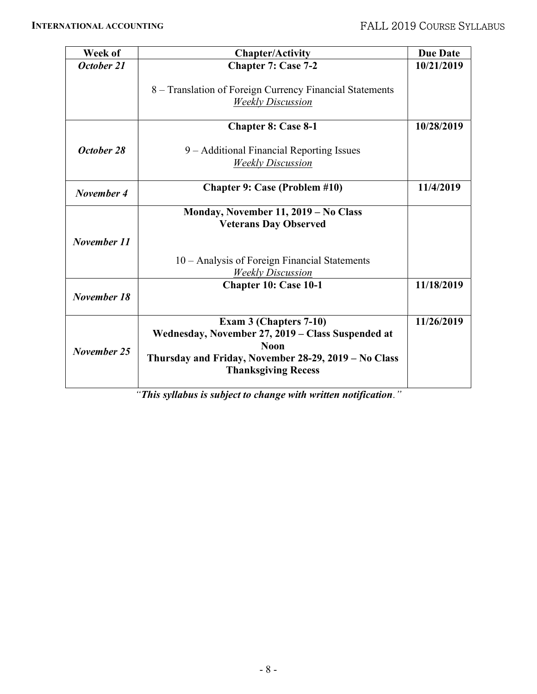| Week of     | <b>Chapter/Activity</b>                                                                                                                                                          | <b>Due Date</b> |
|-------------|----------------------------------------------------------------------------------------------------------------------------------------------------------------------------------|-----------------|
| October 21  | <b>Chapter 7: Case 7-2</b>                                                                                                                                                       | 10/21/2019      |
|             | 8 – Translation of Foreign Currency Financial Statements<br><b>Weekly Discussion</b>                                                                                             |                 |
|             | <b>Chapter 8: Case 8-1</b>                                                                                                                                                       | 10/28/2019      |
| October 28  | 9 – Additional Financial Reporting Issues<br><b>Weekly Discussion</b>                                                                                                            |                 |
| November 4  | <b>Chapter 9: Case (Problem #10)</b>                                                                                                                                             | 11/4/2019       |
|             | Monday, November 11, 2019 - No Class<br><b>Veterans Day Observed</b>                                                                                                             |                 |
| November 11 |                                                                                                                                                                                  |                 |
|             | 10 – Analysis of Foreign Financial Statements<br><b>Weekly Discussion</b>                                                                                                        |                 |
| November 18 | Chapter 10: Case 10-1                                                                                                                                                            | 11/18/2019      |
| November 25 | Exam 3 (Chapters 7-10)<br>Wednesday, November 27, 2019 - Class Suspended at<br><b>Noon</b><br>Thursday and Friday, November 28-29, 2019 – No Class<br><b>Thanksgiving Recess</b> | 11/26/2019      |

"This syllabus is subject to change with written notification."